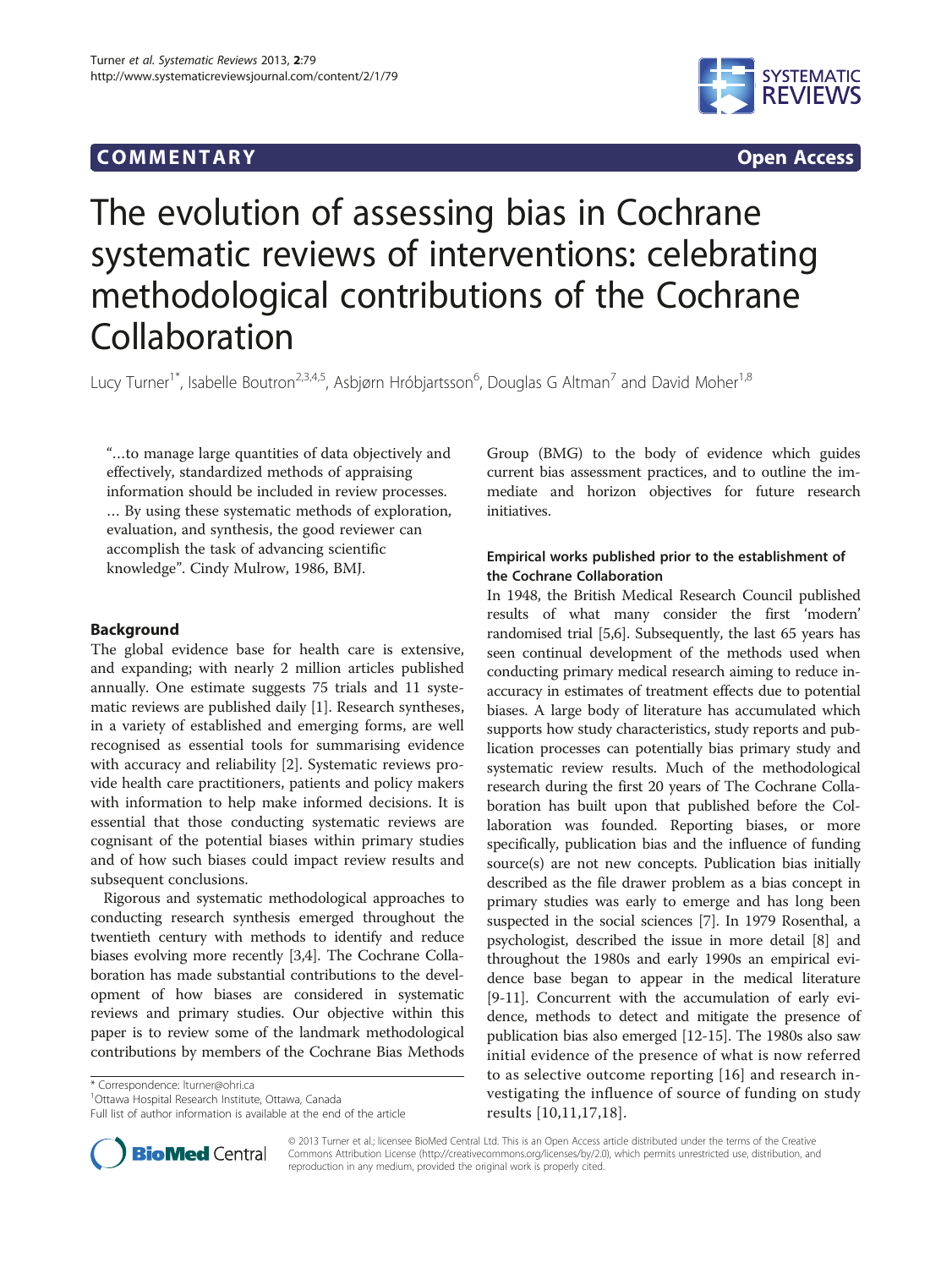# COMM EN TARY Open Access



# The evolution of assessing bias in Cochrane systematic reviews of interventions: celebrating methodological contributions of the Cochrane Collaboration

Lucy Turner<sup>1\*</sup>, Isabelle Boutron<sup>2,3,4,5</sup>, Asbjørn Hróbjartsson<sup>6</sup>, Douglas G Altman<sup>7</sup> and David Moher<sup>1,8</sup>

"…to manage large quantities of data objectively and effectively, standardized methods of appraising information should be included in review processes. … By using these systematic methods of exploration, evaluation, and synthesis, the good reviewer can accomplish the task of advancing scientific knowledge". Cindy Mulrow, 1986, BMJ.

# Background

The global evidence base for health care is extensive, and expanding; with nearly 2 million articles published annually. One estimate suggests 75 trials and 11 systematic reviews are published daily [[1\]](#page-5-0). Research syntheses, in a variety of established and emerging forms, are well recognised as essential tools for summarising evidence with accuracy and reliability [\[2](#page-5-0)]. Systematic reviews provide health care practitioners, patients and policy makers with information to help make informed decisions. It is essential that those conducting systematic reviews are cognisant of the potential biases within primary studies and of how such biases could impact review results and subsequent conclusions.

Rigorous and systematic methodological approaches to conducting research synthesis emerged throughout the twentieth century with methods to identify and reduce biases evolving more recently [[3,4\]](#page-5-0). The Cochrane Collaboration has made substantial contributions to the development of how biases are considered in systematic reviews and primary studies. Our objective within this paper is to review some of the landmark methodological contributions by members of the Cochrane Bias Methods

\* Correspondence: [lturner@ohri.ca](mailto:lturner@ohri.ca) <sup>1</sup>

<sup>1</sup>Ottawa Hospital Research Institute, Ottawa, Canada

Full list of author information is available at the end of the article



# Empirical works published prior to the establishment of the Cochrane Collaboration

In 1948, the British Medical Research Council published results of what many consider the first 'modern' randomised trial [\[5,6\]](#page-5-0). Subsequently, the last 65 years has seen continual development of the methods used when conducting primary medical research aiming to reduce inaccuracy in estimates of treatment effects due to potential biases. A large body of literature has accumulated which supports how study characteristics, study reports and publication processes can potentially bias primary study and systematic review results. Much of the methodological research during the first 20 years of The Cochrane Collaboration has built upon that published before the Collaboration was founded. Reporting biases, or more specifically, publication bias and the influence of funding source(s) are not new concepts. Publication bias initially described as the file drawer problem as a bias concept in primary studies was early to emerge and has long been suspected in the social sciences [\[7](#page-5-0)]. In 1979 Rosenthal, a psychologist, described the issue in more detail [\[8](#page-5-0)] and throughout the 1980s and early 1990s an empirical evidence base began to appear in the medical literature [[9-11\]](#page-5-0). Concurrent with the accumulation of early evidence, methods to detect and mitigate the presence of publication bias also emerged [[12](#page-5-0)-[15](#page-5-0)]. The 1980s also saw initial evidence of the presence of what is now referred to as selective outcome reporting [[16](#page-5-0)] and research investigating the influence of source of funding on study results [[10,11,17,18\]](#page-5-0).



© 2013 Turner et al.; licensee BioMed Central Ltd. This is an Open Access article distributed under the terms of the Creative Commons Attribution License [\(http://creativecommons.org/licenses/by/2.0\)](http://creativecommons.org/licenses/by/2.0), which permits unrestricted use, distribution, and reproduction in any medium, provided the original work is properly cited.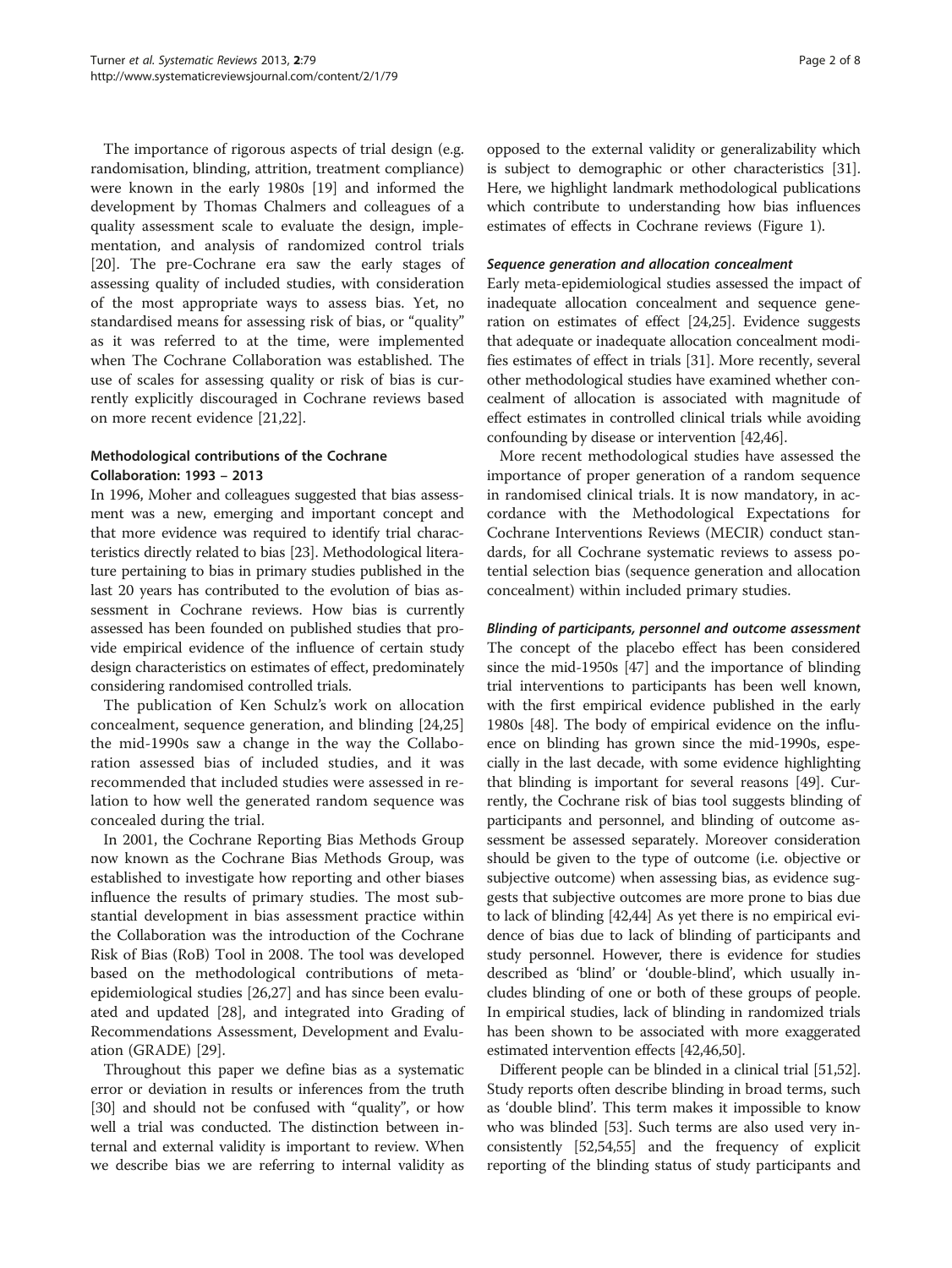The importance of rigorous aspects of trial design (e.g. randomisation, blinding, attrition, treatment compliance) were known in the early 1980s [\[19](#page-5-0)] and informed the development by Thomas Chalmers and colleagues of a quality assessment scale to evaluate the design, implementation, and analysis of randomized control trials [[20\]](#page-5-0). The pre-Cochrane era saw the early stages of assessing quality of included studies, with consideration of the most appropriate ways to assess bias. Yet, no standardised means for assessing risk of bias, or "quality" as it was referred to at the time, were implemented when The Cochrane Collaboration was established. The use of scales for assessing quality or risk of bias is currently explicitly discouraged in Cochrane reviews based on more recent evidence [\[21,22](#page-5-0)].

# Methodological contributions of the Cochrane Collaboration: 1993 – 2013

In 1996, Moher and colleagues suggested that bias assessment was a new, emerging and important concept and that more evidence was required to identify trial characteristics directly related to bias [\[23\]](#page-5-0). Methodological literature pertaining to bias in primary studies published in the last 20 years has contributed to the evolution of bias assessment in Cochrane reviews. How bias is currently assessed has been founded on published studies that provide empirical evidence of the influence of certain study design characteristics on estimates of effect, predominately considering randomised controlled trials.

The publication of Ken Schulz's work on allocation concealment, sequence generation, and blinding [[24,25](#page-5-0)] the mid-1990s saw a change in the way the Collaboration assessed bias of included studies, and it was recommended that included studies were assessed in relation to how well the generated random sequence was concealed during the trial.

In 2001, the Cochrane Reporting Bias Methods Group now known as the Cochrane Bias Methods Group, was established to investigate how reporting and other biases influence the results of primary studies. The most substantial development in bias assessment practice within the Collaboration was the introduction of the Cochrane Risk of Bias (RoB) Tool in 2008. The tool was developed based on the methodological contributions of metaepidemiological studies [[26,27\]](#page-5-0) and has since been evaluated and updated [[28\]](#page-5-0), and integrated into Grading of Recommendations Assessment, Development and Evaluation (GRADE) [[29\]](#page-5-0).

Throughout this paper we define bias as a systematic error or deviation in results or inferences from the truth [[30](#page-5-0)] and should not be confused with "quality", or how well a trial was conducted. The distinction between internal and external validity is important to review. When we describe bias we are referring to internal validity as

opposed to the external validity or generalizability which is subject to demographic or other characteristics [[31](#page-5-0)]. Here, we highlight landmark methodological publications which contribute to understanding how bias influences estimates of effects in Cochrane reviews (Figure [1](#page-2-0)).

#### Sequence generation and allocation concealment

Early meta-epidemiological studies assessed the impact of inadequate allocation concealment and sequence generation on estimates of effect [[24,25\]](#page-5-0). Evidence suggests that adequate or inadequate allocation concealment modifies estimates of effect in trials [\[31\]](#page-5-0). More recently, several other methodological studies have examined whether concealment of allocation is associated with magnitude of effect estimates in controlled clinical trials while avoiding confounding by disease or intervention [\[42,46\]](#page-5-0).

More recent methodological studies have assessed the importance of proper generation of a random sequence in randomised clinical trials. It is now mandatory, in accordance with the Methodological Expectations for Cochrane Interventions Reviews (MECIR) conduct standards, for all Cochrane systematic reviews to assess potential selection bias (sequence generation and allocation concealment) within included primary studies.

### Blinding of participants, personnel and outcome assessment

The concept of the placebo effect has been considered since the mid-1950s [[47](#page-5-0)] and the importance of blinding trial interventions to participants has been well known, with the first empirical evidence published in the early 1980s [\[48](#page-5-0)]. The body of empirical evidence on the influence on blinding has grown since the mid-1990s, especially in the last decade, with some evidence highlighting that blinding is important for several reasons [[49](#page-5-0)]. Currently, the Cochrane risk of bias tool suggests blinding of participants and personnel, and blinding of outcome assessment be assessed separately. Moreover consideration should be given to the type of outcome (i.e. objective or subjective outcome) when assessing bias, as evidence suggests that subjective outcomes are more prone to bias due to lack of blinding [[42,44\]](#page-5-0) As yet there is no empirical evidence of bias due to lack of blinding of participants and study personnel. However, there is evidence for studies described as 'blind' or 'double-blind', which usually includes blinding of one or both of these groups of people. In empirical studies, lack of blinding in randomized trials has been shown to be associated with more exaggerated estimated intervention effects [\[42,46,50](#page-5-0)].

Different people can be blinded in a clinical trial [\[51,52](#page-5-0)]. Study reports often describe blinding in broad terms, such as 'double blind'. This term makes it impossible to know who was blinded [[53](#page-5-0)]. Such terms are also used very inconsistently [\[52,54](#page-5-0),[55](#page-5-0)] and the frequency of explicit reporting of the blinding status of study participants and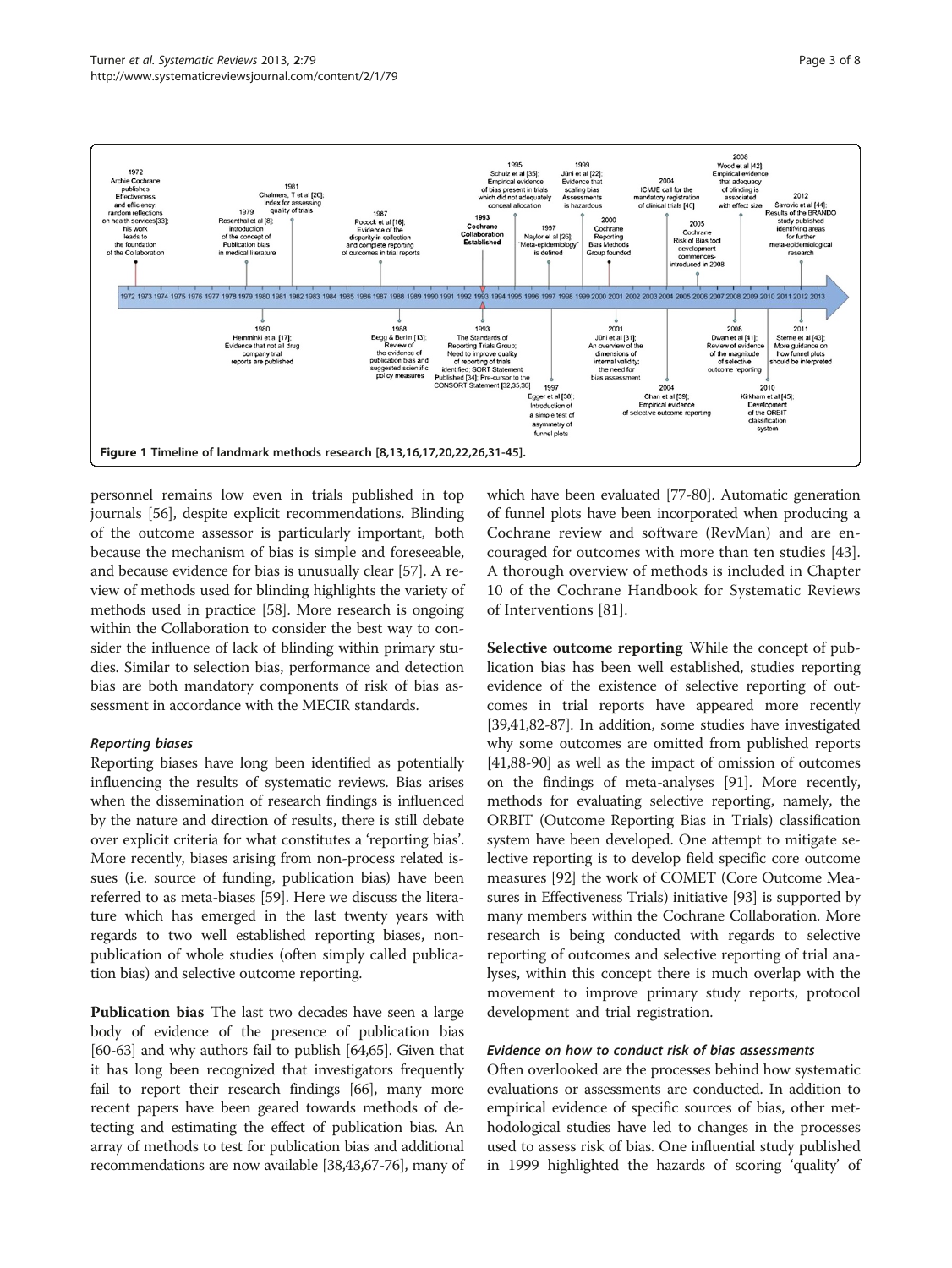<span id="page-2-0"></span>

personnel remains low even in trials published in top journals [[56](#page-5-0)], despite explicit recommendations. Blinding of the outcome assessor is particularly important, both because the mechanism of bias is simple and foreseeable, and because evidence for bias is unusually clear [\[57\]](#page-6-0). A review of methods used for blinding highlights the variety of methods used in practice [[58\]](#page-6-0). More research is ongoing within the Collaboration to consider the best way to consider the influence of lack of blinding within primary studies. Similar to selection bias, performance and detection bias are both mandatory components of risk of bias assessment in accordance with the MECIR standards.

### Reporting biases

Reporting biases have long been identified as potentially influencing the results of systematic reviews. Bias arises when the dissemination of research findings is influenced by the nature and direction of results, there is still debate over explicit criteria for what constitutes a 'reporting bias'. More recently, biases arising from non-process related issues (i.e. source of funding, publication bias) have been referred to as meta-biases [\[59\]](#page-6-0). Here we discuss the literature which has emerged in the last twenty years with regards to two well established reporting biases, nonpublication of whole studies (often simply called publication bias) and selective outcome reporting.

Publication bias The last two decades have seen a large body of evidence of the presence of publication bias [[60](#page-6-0)-[63](#page-6-0)] and why authors fail to publish [\[64,65](#page-6-0)]. Given that it has long been recognized that investigators frequently fail to report their research findings [[66](#page-6-0)], many more recent papers have been geared towards methods of detecting and estimating the effect of publication bias. An array of methods to test for publication bias and additional recommendations are now available [[38,43,](#page-5-0)[67](#page-6-0)-[76](#page-6-0)], many of

which have been evaluated [[77](#page-6-0)-[80](#page-6-0)]. Automatic generation of funnel plots have been incorporated when producing a Cochrane review and software (RevMan) and are encouraged for outcomes with more than ten studies [\[43](#page-5-0)]. A thorough overview of methods is included in Chapter 10 of the Cochrane Handbook for Systematic Reviews of Interventions [\[81](#page-6-0)].

Selective outcome reporting While the concept of publication bias has been well established, studies reporting evidence of the existence of selective reporting of outcomes in trial reports have appeared more recently [[39,41](#page-5-0)[,82-87\]](#page-6-0). In addition, some studies have investigated why some outcomes are omitted from published reports [[41](#page-5-0)[,88](#page-6-0)-[90](#page-6-0)] as well as the impact of omission of outcomes on the findings of meta-analyses [\[91\]](#page-6-0). More recently, methods for evaluating selective reporting, namely, the ORBIT (Outcome Reporting Bias in Trials) classification system have been developed. One attempt to mitigate selective reporting is to develop field specific core outcome measures [\[92\]](#page-6-0) the work of COMET (Core Outcome Measures in Effectiveness Trials) initiative [\[93](#page-6-0)] is supported by many members within the Cochrane Collaboration. More research is being conducted with regards to selective reporting of outcomes and selective reporting of trial analyses, within this concept there is much overlap with the movement to improve primary study reports, protocol development and trial registration.

# Evidence on how to conduct risk of bias assessments

Often overlooked are the processes behind how systematic evaluations or assessments are conducted. In addition to empirical evidence of specific sources of bias, other methodological studies have led to changes in the processes used to assess risk of bias. One influential study published in 1999 highlighted the hazards of scoring 'quality' of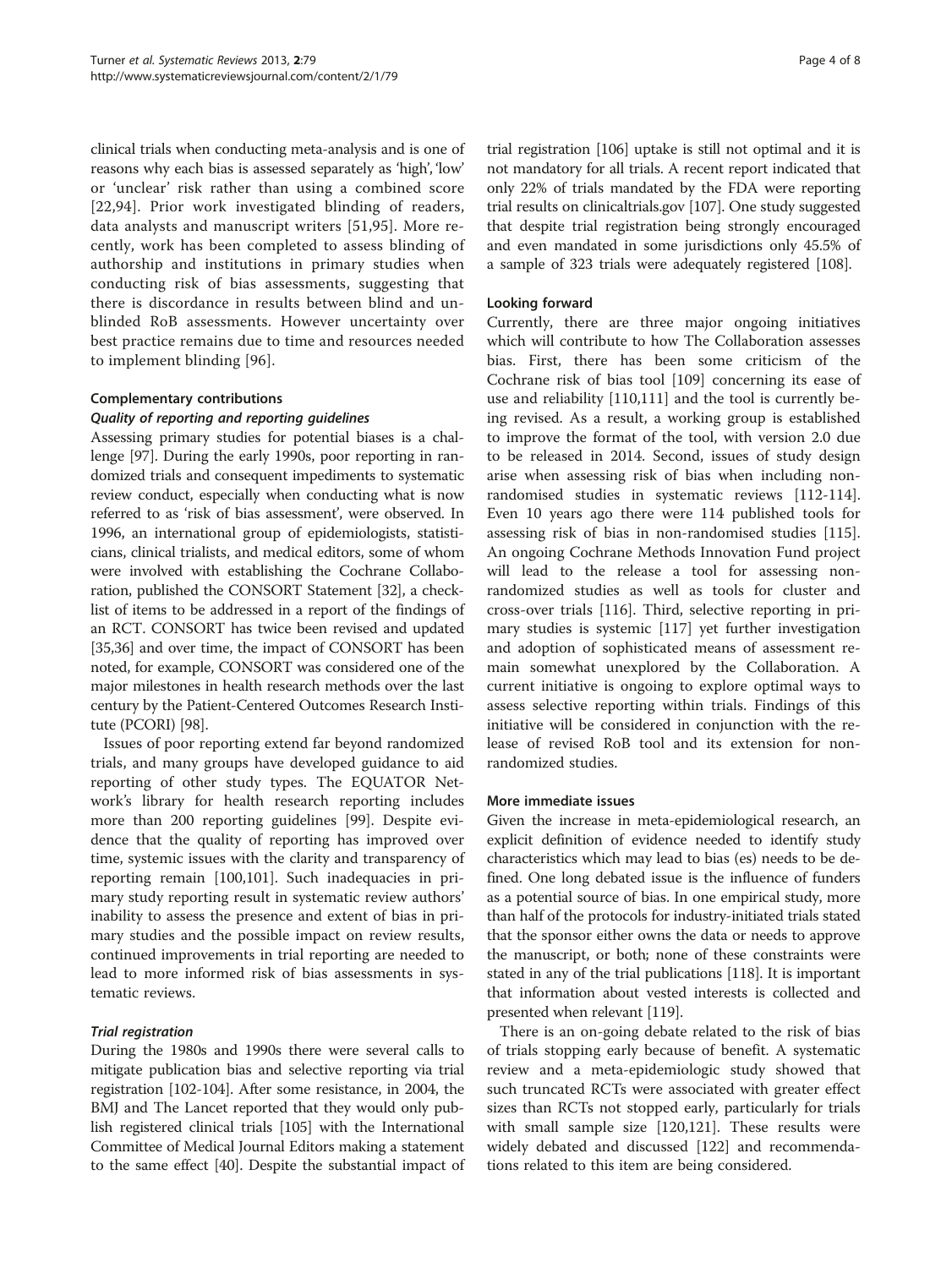clinical trials when conducting meta-analysis and is one of reasons why each bias is assessed separately as 'high', 'low' or 'unclear' risk rather than using a combined score [[22](#page-5-0)[,94\]](#page-6-0). Prior work investigated blinding of readers, data analysts and manuscript writers [[51,](#page-5-0)[95](#page-6-0)]. More recently, work has been completed to assess blinding of authorship and institutions in primary studies when conducting risk of bias assessments, suggesting that there is discordance in results between blind and unblinded RoB assessments. However uncertainty over best practice remains due to time and resources needed to implement blinding [[96\]](#page-6-0).

# Complementary contributions

## Quality of reporting and reporting guidelines

Assessing primary studies for potential biases is a challenge [\[97\]](#page-6-0). During the early 1990s, poor reporting in randomized trials and consequent impediments to systematic review conduct, especially when conducting what is now referred to as 'risk of bias assessment', were observed. In 1996, an international group of epidemiologists, statisticians, clinical trialists, and medical editors, some of whom were involved with establishing the Cochrane Collaboration, published the CONSORT Statement [\[32\]](#page-5-0), a checklist of items to be addressed in a report of the findings of an RCT. CONSORT has twice been revised and updated [[35,36](#page-5-0)] and over time, the impact of CONSORT has been noted, for example, CONSORT was considered one of the major milestones in health research methods over the last century by the Patient-Centered Outcomes Research Institute (PCORI) [[98](#page-6-0)].

Issues of poor reporting extend far beyond randomized trials, and many groups have developed guidance to aid reporting of other study types. The EQUATOR Network's library for health research reporting includes more than 200 reporting guidelines [\[99\]](#page-6-0). Despite evidence that the quality of reporting has improved over time, systemic issues with the clarity and transparency of reporting remain [\[100,101\]](#page-6-0). Such inadequacies in primary study reporting result in systematic review authors' inability to assess the presence and extent of bias in primary studies and the possible impact on review results, continued improvements in trial reporting are needed to lead to more informed risk of bias assessments in systematic reviews.

# Trial registration

During the 1980s and 1990s there were several calls to mitigate publication bias and selective reporting via trial registration [[102-104\]](#page-6-0). After some resistance, in 2004, the BMJ and The Lancet reported that they would only publish registered clinical trials [[105](#page-6-0)] with the International Committee of Medical Journal Editors making a statement to the same effect [\[40\]](#page-5-0). Despite the substantial impact of trial registration [\[106](#page-6-0)] uptake is still not optimal and it is not mandatory for all trials. A recent report indicated that only 22% of trials mandated by the FDA were reporting trial results on clinicaltrials.gov [\[107](#page-6-0)]. One study suggested that despite trial registration being strongly encouraged and even mandated in some jurisdictions only 45.5% of a sample of 323 trials were adequately registered [[108](#page-6-0)].

### Looking forward

Currently, there are three major ongoing initiatives which will contribute to how The Collaboration assesses bias. First, there has been some criticism of the Cochrane risk of bias tool [[109](#page-6-0)] concerning its ease of use and reliability [\[110,111\]](#page-7-0) and the tool is currently being revised. As a result, a working group is established to improve the format of the tool, with version 2.0 due to be released in 2014. Second, issues of study design arise when assessing risk of bias when including nonrandomised studies in systematic reviews [\[112-114](#page-7-0)]. Even 10 years ago there were 114 published tools for assessing risk of bias in non-randomised studies [[115](#page-7-0)]. An ongoing Cochrane Methods Innovation Fund project will lead to the release a tool for assessing nonrandomized studies as well as tools for cluster and cross-over trials [\[116\]](#page-7-0). Third, selective reporting in primary studies is systemic [\[117](#page-7-0)] yet further investigation and adoption of sophisticated means of assessment remain somewhat unexplored by the Collaboration. A current initiative is ongoing to explore optimal ways to assess selective reporting within trials. Findings of this initiative will be considered in conjunction with the release of revised RoB tool and its extension for nonrandomized studies.

#### More immediate issues

Given the increase in meta-epidemiological research, an explicit definition of evidence needed to identify study characteristics which may lead to bias (es) needs to be defined. One long debated issue is the influence of funders as a potential source of bias. In one empirical study, more than half of the protocols for industry-initiated trials stated that the sponsor either owns the data or needs to approve the manuscript, or both; none of these constraints were stated in any of the trial publications [[118](#page-7-0)]. It is important that information about vested interests is collected and presented when relevant [\[119](#page-7-0)].

There is an on-going debate related to the risk of bias of trials stopping early because of benefit. A systematic review and a meta-epidemiologic study showed that such truncated RCTs were associated with greater effect sizes than RCTs not stopped early, particularly for trials with small sample size [[120,121](#page-7-0)]. These results were widely debated and discussed [[122\]](#page-7-0) and recommendations related to this item are being considered.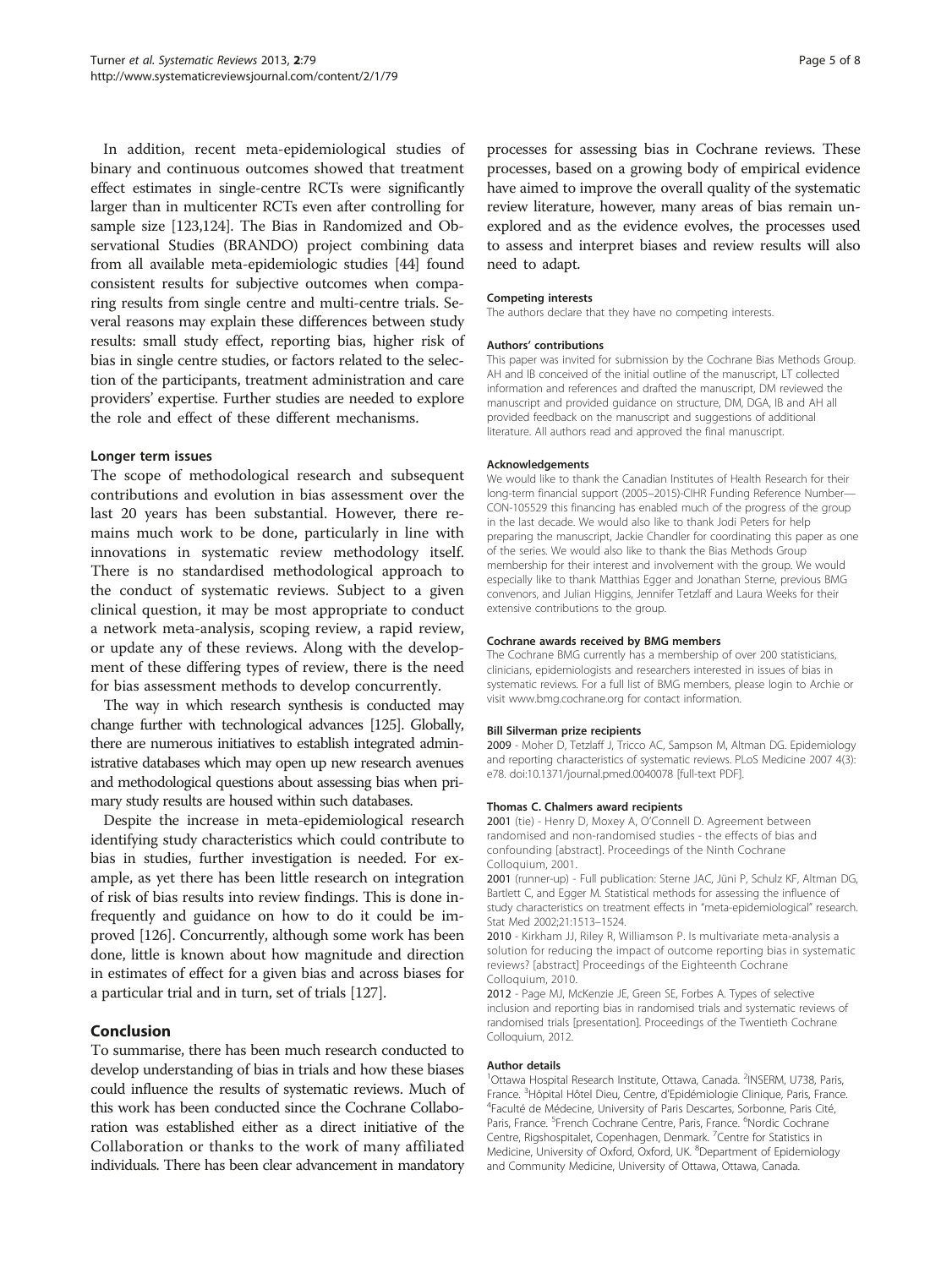<span id="page-4-0"></span>In addition, recent meta-epidemiological studies of binary and continuous outcomes showed that treatment effect estimates in single-centre RCTs were significantly larger than in multicenter RCTs even after controlling for sample size [\[123,124](#page-7-0)]. The Bias in Randomized and Observational Studies (BRANDO) project combining data from all available meta-epidemiologic studies [\[44\]](#page-5-0) found consistent results for subjective outcomes when comparing results from single centre and multi-centre trials. Several reasons may explain these differences between study results: small study effect, reporting bias, higher risk of bias in single centre studies, or factors related to the selection of the participants, treatment administration and care providers' expertise. Further studies are needed to explore the role and effect of these different mechanisms.

#### Longer term issues

The scope of methodological research and subsequent contributions and evolution in bias assessment over the last 20 years has been substantial. However, there remains much work to be done, particularly in line with innovations in systematic review methodology itself. There is no standardised methodological approach to the conduct of systematic reviews. Subject to a given clinical question, it may be most appropriate to conduct a network meta-analysis, scoping review, a rapid review, or update any of these reviews. Along with the development of these differing types of review, there is the need for bias assessment methods to develop concurrently.

The way in which research synthesis is conducted may change further with technological advances [\[125](#page-7-0)]. Globally, there are numerous initiatives to establish integrated administrative databases which may open up new research avenues and methodological questions about assessing bias when primary study results are housed within such databases.

Despite the increase in meta-epidemiological research identifying study characteristics which could contribute to bias in studies, further investigation is needed. For example, as yet there has been little research on integration of risk of bias results into review findings. This is done infrequently and guidance on how to do it could be improved [\[126\]](#page-7-0). Concurrently, although some work has been done, little is known about how magnitude and direction in estimates of effect for a given bias and across biases for a particular trial and in turn, set of trials [\[127\]](#page-7-0).

### Conclusion

To summarise, there has been much research conducted to develop understanding of bias in trials and how these biases could influence the results of systematic reviews. Much of this work has been conducted since the Cochrane Collaboration was established either as a direct initiative of the Collaboration or thanks to the work of many affiliated individuals. There has been clear advancement in mandatory

processes for assessing bias in Cochrane reviews. These processes, based on a growing body of empirical evidence have aimed to improve the overall quality of the systematic review literature, however, many areas of bias remain unexplored and as the evidence evolves, the processes used to assess and interpret biases and review results will also need to adapt.

#### Competing interests

The authors declare that they have no competing interests.

#### Authors' contributions

This paper was invited for submission by the Cochrane Bias Methods Group. AH and IB conceived of the initial outline of the manuscript, LT collected information and references and drafted the manuscript, DM reviewed the manuscript and provided guidance on structure, DM, DGA, IB and AH all provided feedback on the manuscript and suggestions of additional literature. All authors read and approved the final manuscript.

#### Acknowledgements

We would like to thank the Canadian Institutes of Health Research for their long-term financial support (2005–2015)-CIHR Funding Reference Number— CON-105529 this financing has enabled much of the progress of the group in the last decade. We would also like to thank Jodi Peters for help preparing the manuscript, Jackie Chandler for coordinating this paper as one of the series. We would also like to thank the Bias Methods Group membership for their interest and involvement with the group. We would especially like to thank Matthias Egger and Jonathan Sterne, previous BMG convenors, and Julian Higgins, Jennifer Tetzlaff and Laura Weeks for their extensive contributions to the group.

#### Cochrane awards received by BMG members

The Cochrane BMG currently has a membership of over 200 statisticians, clinicians, epidemiologists and researchers interested in issues of bias in systematic reviews. For a full list of BMG members, please login to Archie or visit [www.bmg.cochrane.org](http://www.bmg.cochrane.org/) for contact information.

#### Bill Silverman prize recipients

2009 - Moher D, Tetzlaff J, Tricco AC, Sampson M, Altman DG. Epidemiology and reporting characteristics of systematic reviews. PLoS Medicine 2007 4(3): e78. doi:[10.1371/journal.pmed.0040078](http://dx.doi.org/10.1371/journal.pmed.0040078) [full-text PDF].

#### Thomas C. Chalmers award recipients

2001 (tie) - Henry D, Moxey A, O'Connell D. Agreement between randomised and non-randomised studies - the effects of bias and confounding [abstract]. Proceedings of the Ninth Cochrane Colloquium, 2001.

2001 (runner-up) - Full publication: Sterne JAC, Jüni P, Schulz KF, Altman DG, Bartlett C, and Egger M. Statistical methods for assessing the influence of study characteristics on treatment effects in "meta-epidemiological" research. Stat Med 2002;21:1513–1524.

2010 - Kirkham JJ, Riley R, Williamson P. Is multivariate meta-analysis a solution for reducing the impact of outcome reporting bias in systematic reviews? [abstract] Proceedings of the Eighteenth Cochrane Colloquium, 2010.

2012 - Page MJ, McKenzie JE, Green SE, Forbes A. Types of selective inclusion and reporting bias in randomised trials and systematic reviews of randomised trials [presentation]. Proceedings of the Twentieth Cochrane Colloquium, 2012.

#### Author details

<sup>1</sup>Ottawa Hospital Research Institute, Ottawa, Canada. <sup>2</sup>INSERM, U738, Paris France. <sup>3</sup> Hôpital Hôtel Dieu, Centre, d'Epidémiologie Clinique, Paris, France<br><sup>4</sup> Faculté de Médecine, University of Paris Descartes, Sorbonne, Paris, Cité Faculté de Médecine, University of Paris Descartes, Sorbonne, Paris Cité, Paris, France. <sup>5</sup>French Cochrane Centre, Paris, France. <sup>6</sup>Nordic Cochrane Centre, Rigshospitalet, Copenhagen, Denmark. <sup>7</sup>Centre for Statistics in Medicine, University of Oxford, Oxford, UK. <sup>8</sup>Department of Epidemiology and Community Medicine, University of Ottawa, Ottawa, Canada.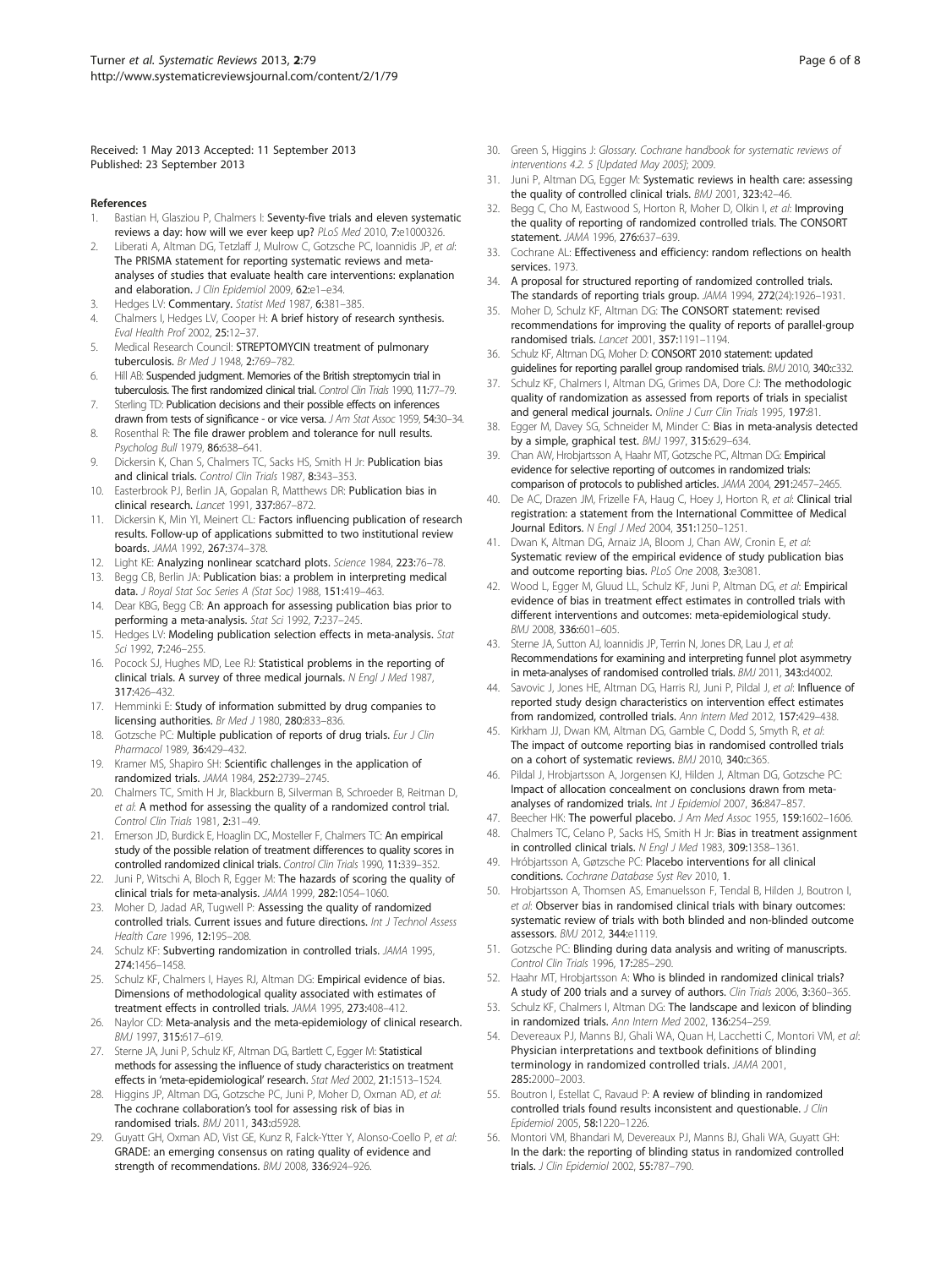<span id="page-5-0"></span>Received: 1 May 2013 Accepted: 11 September 2013 Published: 23 September 2013

#### References

- Bastian H, Glasziou P, Chalmers I: Seventy-five trials and eleven systematic reviews a day: how will we ever keep up? PLoS Med 2010, 7:e1000326.
- 2. Liberati A, Altman DG, Tetzlaff J, Mulrow C, Gotzsche PC, Ioannidis JP, et al: The PRISMA statement for reporting systematic reviews and metaanalyses of studies that evaluate health care interventions: explanation and elaboration. J Clin Epidemiol 2009, 62:e1-e34.
- 3. Hedges LV: Commentary. Statist Med 1987, 6:381–385.
- 4. Chalmers I, Hedges LV, Cooper H: A brief history of research synthesis. Eval Health Prof 2002, 25:12–37.
- Medical Research Council: STREPTOMYCIN treatment of pulmonary tuberculosis. Br Med J 1948, 2:769–782.
- 6. Hill AB: Suspended judgment. Memories of the British streptomycin trial in tuberculosis. The first randomized clinical trial. Control Clin Trials 1990, 11:77–79.
- 7. Sterling TD: Publication decisions and their possible effects on inferences drawn from tests of significance - or vice versa. J Am Stat Assoc 1959, 54:30-34.
- 8. Rosenthal R: The file drawer problem and tolerance for null results. Psycholog Bull 1979, 86:638–641.
- 9. Dickersin K, Chan S, Chalmers TC, Sacks HS, Smith H Jr: Publication bias and clinical trials. Control Clin Trials 1987, 8:343–353.
- 10. Easterbrook PJ, Berlin JA, Gopalan R, Matthews DR: Publication bias in clinical research. Lancet 1991, 337:867–872.
- 11. Dickersin K, Min YI, Meinert CL: Factors influencing publication of research results. Follow-up of applications submitted to two institutional review boards. JAMA 1992, 267:374–378.
- 12. Light KE: Analyzing nonlinear scatchard plots. Science 1984, 223:76-78.
- 13. Begg CB, Berlin JA: Publication bias: a problem in interpreting medical data. J Royal Stat Soc Series A (Stat Soc) 1988, 151:419-463.
- 14. Dear KBG, Begg CB: An approach for assessing publication bias prior to performing a meta-analysis. Stat Sci 1992, 7:237–245.
- 15. Hedges LV: Modeling publication selection effects in meta-analysis. Stat Sci 1992, 7:246–255.
- 16. Pocock SJ, Hughes MD, Lee RJ: Statistical problems in the reporting of clinical trials. A survey of three medical journals. N Engl J Med 1987, 317:426–432.
- 17. Hemminki E: Study of information submitted by drug companies to licensing authorities. Br Med J 1980, 280:833–836.
- Gotzsche PC: Multiple publication of reports of drug trials. Eur J Clin Pharmacol 1989, 36:429–432.
- 19. Kramer MS, Shapiro SH: Scientific challenges in the application of randomized trials. JAMA 1984, 252:2739–2745.
- 20. Chalmers TC, Smith H Jr, Blackburn B, Silverman B, Schroeder B, Reitman D, et al: A method for assessing the quality of a randomized control trial. Control Clin Trials 1981, 2:31–49.
- 21. Emerson JD, Burdick E, Hoaglin DC, Mosteller F, Chalmers TC: An empirical study of the possible relation of treatment differences to quality scores in controlled randomized clinical trials. Control Clin Trials 1990, 11:339–352.
- 22. Juni P, Witschi A, Bloch R, Egger M: The hazards of scoring the quality of clinical trials for meta-analysis. JAMA 1999, 282:1054–1060.
- 23. Moher D, Jadad AR, Tugwell P: Assessing the quality of randomized controlled trials. Current issues and future directions. Int J Technol Assess Health Care 1996, 12:195–208.
- 24. Schulz KF: Subverting randomization in controlled trials. JAMA 1995, 274:1456–1458.
- 25. Schulz KF, Chalmers I, Hayes RJ, Altman DG: Empirical evidence of bias. Dimensions of methodological quality associated with estimates of treatment effects in controlled trials. JAMA 1995, 273:408–412.
- 26. Naylor CD: Meta-analysis and the meta-epidemiology of clinical research. BMJ 1997, 315:617–619.
- 27. Sterne JA, Juni P, Schulz KF, Altman DG, Bartlett C, Egger M: Statistical methods for assessing the influence of study characteristics on treatment effects in 'meta-epidemiological' research. Stat Med 2002, 21:1513-1524
- 28. Higgins JP, Altman DG, Gotzsche PC, Juni P, Moher D, Oxman AD, et al: The cochrane collaboration's tool for assessing risk of bias in randomised trials. BMJ 2011, 343:d5928.
- 29. Guyatt GH, Oxman AD, Vist GE, Kunz R, Falck-Ytter Y, Alonso-Coello P, et al: GRADE: an emerging consensus on rating quality of evidence and strength of recommendations. BMJ 2008, 336:924–926.
- 30. Green S, Higgins J: Glossary. Cochrane handbook for systematic reviews of interventions 4.2. 5 [Updated May 2005]; 2009.
- 31. Juni P, Altman DG, Egger M: Systematic reviews in health care: assessing the quality of controlled clinical trials. BMJ 2001, 323:42-46.
- 32. Begg C, Cho M, Eastwood S, Horton R, Moher D, Olkin I, et al: Improving the quality of reporting of randomized controlled trials. The CONSORT statement. JAMA 1996, 276:637–639.
- 33. Cochrane AL: Effectiveness and efficiency: random reflections on health services. 1973.
- 34. A proposal for structured reporting of randomized controlled trials. The standards of reporting trials group. JAMA 1994, 272(24):1926-1931.
- 35. Moher D, Schulz KF, Altman DG: The CONSORT statement: revised recommendations for improving the quality of reports of parallel-group randomised trials. Lancet 2001, 357:1191–1194.
- 36. Schulz KF, Altman DG, Moher D: CONSORT 2010 statement: updated guidelines for reporting parallel group randomised trials. BMJ 2010, 340:c332.
- 37. Schulz KF, Chalmers I, Altman DG, Grimes DA, Dore CJ: The methodologic quality of randomization as assessed from reports of trials in specialist and general medical journals. Online J Curr Clin Trials 1995, 197:81.
- Egger M, Davey SG, Schneider M, Minder C: Bias in meta-analysis detected by a simple, graphical test. BMJ 1997, 315:629–634.
- 39. Chan AW, Hrobjartsson A, Haahr MT, Gotzsche PC, Altman DG: Empirical evidence for selective reporting of outcomes in randomized trials: comparison of protocols to published articles. JAMA 2004, 291:2457–2465.
- 40. De AC, Drazen JM, Frizelle FA, Haug C, Hoey J, Horton R, et al: Clinical trial registration: a statement from the International Committee of Medical Journal Editors. N Engl J Med 2004, 351:1250–1251.
- 41. Dwan K, Altman DG, Arnaiz JA, Bloom J, Chan AW, Cronin E, et al: Systematic review of the empirical evidence of study publication bias and outcome reporting bias. PLoS One 2008, 3:e3081
- 42. Wood L, Egger M, Gluud LL, Schulz KF, Juni P, Altman DG, et al: Empirical evidence of bias in treatment effect estimates in controlled trials with different interventions and outcomes: meta-epidemiological study. BMJ 2008, 336:601–605.
- 43. Sterne JA, Sutton AJ, Ioannidis JP, Terrin N, Jones DR, Lau J, et al: Recommendations for examining and interpreting funnel plot asymmetry in meta-analyses of randomised controlled trials. BMJ 2011, 343:d4002.
- 44. Savovic J, Jones HE, Altman DG, Harris RJ, Juni P, Pildal J, et al: Influence of reported study design characteristics on intervention effect estimates from randomized, controlled trials. Ann Intern Med 2012, 157:429–438.
- 45. Kirkham JJ, Dwan KM, Altman DG, Gamble C, Dodd S, Smyth R, et al: The impact of outcome reporting bias in randomised controlled trials on a cohort of systematic reviews. BMJ 2010, 340:c365.
- 46. Pildal J, Hrobjartsson A, Jorgensen KJ, Hilden J, Altman DG, Gotzsche PC: Impact of allocation concealment on conclusions drawn from metaanalyses of randomized trials. Int J Epidemiol 2007, 36:847-857.
- 47. Beecher HK: The powerful placebo. J Am Med Assoc 1955, 159:1602-1606.
- 48. Chalmers TC, Celano P, Sacks HS, Smith H Jr: Bias in treatment assignment
- in controlled clinical trials. N Engl J Med 1983, 309:1358–1361. 49. Hróbjartsson A, Gøtzsche PC: Placebo interventions for all clinical
- conditions. Cochrane Database Syst Rev 2010, 1.
- 50. Hrobjartsson A, Thomsen AS, Emanuelsson F, Tendal B, Hilden J, Boutron I, et al: Observer bias in randomised clinical trials with binary outcomes: systematic review of trials with both blinded and non-blinded outcome assessors. BMJ 2012, 344:e1119.
- 51. Gotzsche PC: Blinding during data analysis and writing of manuscripts. Control Clin Trials 1996, 17:285–290.
- 52. Haahr MT, Hrobjartsson A: Who is blinded in randomized clinical trials? A study of 200 trials and a survey of authors. Clin Trials 2006, 3:360–365.
- 53. Schulz KF, Chalmers I, Altman DG: The landscape and lexicon of blinding in randomized trials. Ann Intern Med 2002, 136:254–259.
- 54. Devereaux PJ, Manns BJ, Ghali WA, Quan H, Lacchetti C, Montori VM, et al: Physician interpretations and textbook definitions of blinding terminology in randomized controlled trials. JAMA 2001, 285:2000–2003.
- 55. Boutron I, Estellat C, Ravaud P: A review of blinding in randomized controlled trials found results inconsistent and questionable. J Clin Epidemiol 2005, 58:1220–1226.
- 56. Montori VM, Bhandari M, Devereaux PJ, Manns BJ, Ghali WA, Guyatt GH: In the dark: the reporting of blinding status in randomized controlled trials. J Clin Epidemiol 2002, 55:787–790.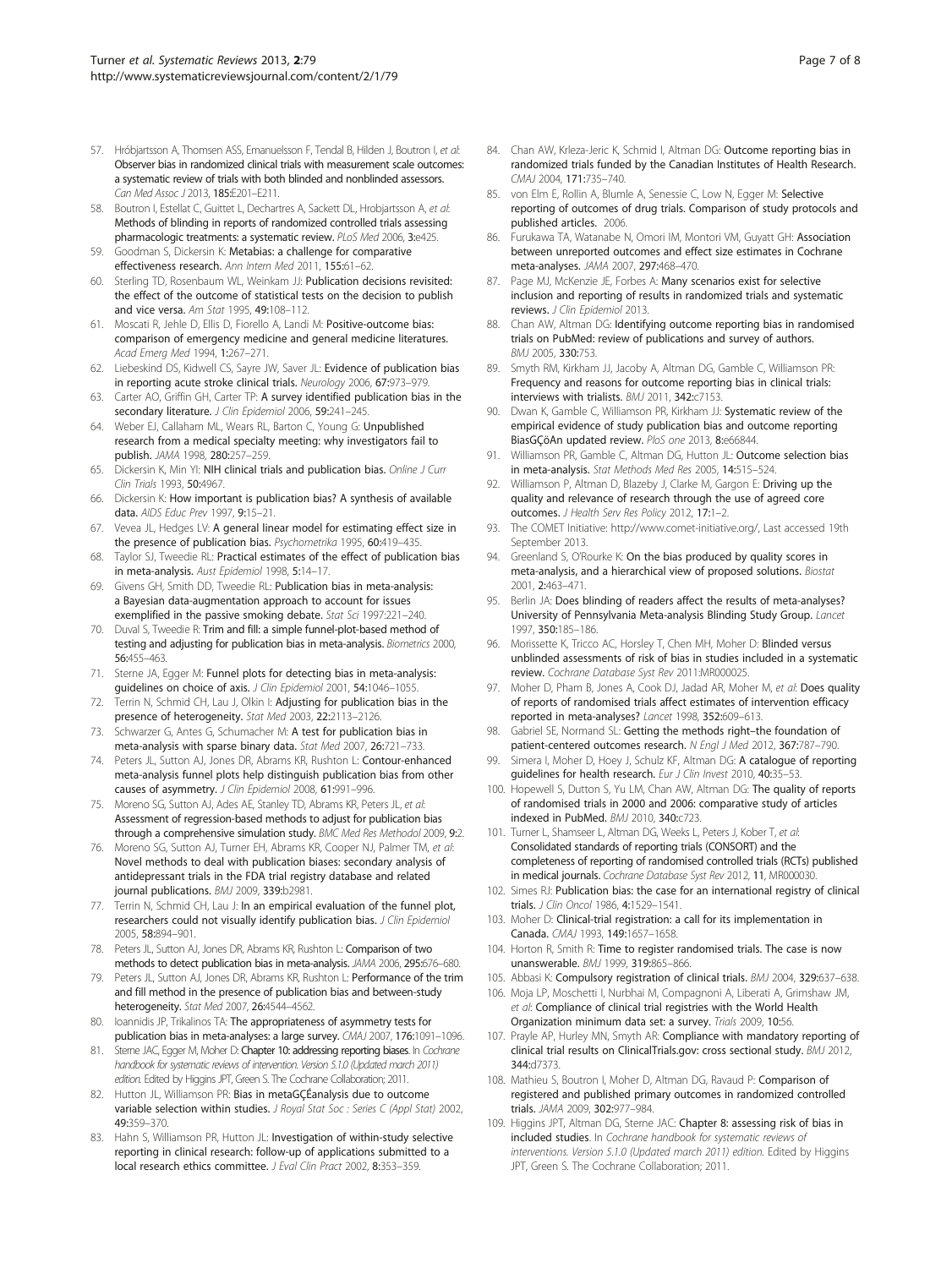- <span id="page-6-0"></span>57. Hróbjartsson A, Thomsen ASS, Emanuelsson F, Tendal B, Hilden J, Boutron I, et al: Observer bias in randomized clinical trials with measurement scale outcomes: a systematic review of trials with both blinded and nonblinded assessors. Can Med Assoc J 2013, 185:E201-E211.
- 58. Boutron I, Estellat C, Guittet L, Dechartres A, Sackett DL, Hrobiartsson A, et al: Methods of blinding in reports of randomized controlled trials assessing pharmacologic treatments: a systematic review. PLoS Med 2006, 3:e425.
- 59. Goodman S, Dickersin K: Metabias: a challenge for comparative effectiveness research. Ann Intern Med 2011, 155:61–62.
- 60. Sterling TD, Rosenbaum WL, Weinkam JJ: Publication decisions revisited: the effect of the outcome of statistical tests on the decision to publish and vice versa. Am Stat 1995, 49:108–112.
- 61. Moscati R, Jehle D, Ellis D, Fiorello A, Landi M: Positive-outcome bias: comparison of emergency medicine and general medicine literatures. Acad Emerg Med 1994, 1:267–271.
- 62. Liebeskind DS, Kidwell CS, Sayre JW, Saver JL: Evidence of publication bias in reporting acute stroke clinical trials. Neurology 2006, 67:973–979.
- 63. Carter AO, Griffin GH, Carter TP: A survey identified publication bias in the secondary literature. J Clin Epidemiol 2006, 59:241-245.
- 64. Weber EJ, Callaham ML, Wears RL, Barton C, Young G: Unpublished research from a medical specialty meeting: why investigators fail to publish. JAMA 1998, 280:257–259.
- 65. Dickersin K, Min YI: NIH clinical trials and publication bias. Online J Curr Clin Trials 1993, 50:4967.
- 66. Dickersin K: How important is publication bias? A synthesis of available data. AIDS Educ Prev 1997, 9:15–21.
- 67. Vevea JL, Hedges LV: A general linear model for estimating effect size in the presence of publication bias. Psychometrika 1995, 60:419-435.
- 68. Taylor SJ, Tweedie RL: Practical estimates of the effect of publication bias in meta-analysis. Aust Epidemiol 1998, 5:14–17.
- 69. Givens GH, Smith DD, Tweedie RL: Publication bias in meta-analysis: a Bayesian data-augmentation approach to account for issues exemplified in the passive smoking debate. Stat Sci 1997:221–240.
- 70. Duval S, Tweedie R: Trim and fill: a simple funnel-plot-based method of testing and adjusting for publication bias in meta-analysis. Biometrics 2000, 56:455–463.
- 71. Sterne JA, Egger M: Funnel plots for detecting bias in meta-analysis: guidelines on choice of axis. J Clin Epidemiol 2001, 54:1046-1055.
- 72. Terrin N, Schmid CH, Lau J, Olkin I: Adjusting for publication bias in the presence of heterogeneity. Stat Med 2003, 22:2113–2126.
- Schwarzer G, Antes G, Schumacher M: A test for publication bias in meta-analysis with sparse binary data. Stat Med 2007, 26:721–733.
- 74. Peters JL, Sutton AJ, Jones DR, Abrams KR, Rushton L: Contour-enhanced meta-analysis funnel plots help distinguish publication bias from other causes of asymmetry. J Clin Epidemiol 2008, 61:991-996.
- 75. Moreno SG, Sutton AJ, Ades AE, Stanley TD, Abrams KR, Peters JL, et al: Assessment of regression-based methods to adjust for publication bias through a comprehensive simulation study. BMC Med Res Methodol 2009, 9:2.
- 76. Moreno SG, Sutton AJ, Turner EH, Abrams KR, Cooper NJ, Palmer TM, et al: Novel methods to deal with publication biases: secondary analysis of antidepressant trials in the FDA trial registry database and related journal publications. BMJ 2009, 339:b2981
- 77. Terrin N, Schmid CH, Lau J: In an empirical evaluation of the funnel plot, researchers could not visually identify publication bias. J Clin Epidemiol 2005, 58:894–901.
- 78. Peters JL, Sutton AJ, Jones DR, Abrams KR, Rushton L: Comparison of two methods to detect publication bias in meta-analysis. JAMA 2006, 295:676–680.
- 79. Peters JL, Sutton AJ, Jones DR, Abrams KR, Rushton L: Performance of the trim and fill method in the presence of publication bias and between-study heterogeneity. Stat Med 2007, 26:4544–4562.
- 80. Ioannidis JP, Trikalinos TA: The appropriateness of asymmetry tests for publication bias in meta-analyses: a large survey. CMAJ 2007, 176:1091–1096.
- 81. Sterne JAC, Egger M, Moher D: Chapter 10: addressing reporting biases. In Cochrane handbook for systematic reviews of intervention. Version 5.1.0 (Updated march 2011) edition. Edited by Higgins JPT, Green S. The Cochrane Collaboration; 2011.
- 82. Hutton JL, Williamson PR: Bias in metaGCÉanalysis due to outcome variable selection within studies. J Royal Stat Soc : Series C (Appl Stat) 2002, 49:359–370.
- 83. Hahn S, Williamson PR, Hutton JL: Investigation of within-study selective reporting in clinical research: follow-up of applications submitted to a local research ethics committee. J Eval Clin Pract 2002, 8:353–359.
- 84. Chan AW, Krleza-Jeric K, Schmid I, Altman DG: Outcome reporting bias in randomized trials funded by the Canadian Institutes of Health Research. CMAJ 2004, 171:735–740.
- 85. von Elm E, Rollin A, Blumle A, Senessie C, Low N, Egger M: Selective reporting of outcomes of drug trials. Comparison of study protocols and published articles. 2006.
- 86. Furukawa TA, Watanabe N, Omori IM, Montori VM, Guyatt GH: Association between unreported outcomes and effect size estimates in Cochrane meta-analyses. JAMA 2007, 297:468–470.
- 87. Page MJ, McKenzie JE, Forbes A: Many scenarios exist for selective inclusion and reporting of results in randomized trials and systematic reviews. J Clin Epidemiol 2013.
- 88. Chan AW, Altman DG: Identifying outcome reporting bias in randomised trials on PubMed: review of publications and survey of authors. BMJ 2005, 330:753.
- 89. Smyth RM, Kirkham JJ, Jacoby A, Altman DG, Gamble C, Williamson PR: Frequency and reasons for outcome reporting bias in clinical trials: interviews with trialists. BMJ 2011, 342:c7153.
- 90. Dwan K, Gamble C, Williamson PR, Kirkham JJ: Systematic review of the empirical evidence of study publication bias and outcome reporting BiasGCöAn updated review. PloS one 2013, 8:e66844.
- Williamson PR, Gamble C, Altman DG, Hutton JL: Outcome selection bias in meta-analysis. Stat Methods Med Res 2005, 14:515–524.
- 92. Williamson P, Altman D, Blazeby J, Clarke M, Gargon E: Driving up the quality and relevance of research through the use of agreed core outcomes. J Health Serv Res Policy 2012, 17:1–2.
- 93. The COMET Initiative:<http://www.comet-initiative.org/>, Last accessed 19th September 2013.
- Greenland S, O'Rourke K: On the bias produced by quality scores in meta-analysis, and a hierarchical view of proposed solutions. Biostat 2001, 2:463–471.
- 95. Berlin JA: Does blinding of readers affect the results of meta-analyses? University of Pennsylvania Meta-analysis Blinding Study Group. Lancet 1997, 350:185–186.
- 96. Morissette K, Tricco AC, Horsley T, Chen MH, Moher D: Blinded versus unblinded assessments of risk of bias in studies included in a systematic review. Cochrane Database Syst Rev 2011:MR000025.
- 97. Moher D, Pham B, Jones A, Cook DJ, Jadad AR, Moher M, et al: Does quality of reports of randomised trials affect estimates of intervention efficacy reported in meta-analyses? Lancet 1998, 352:609–613.
- Gabriel SE, Normand SL: Getting the methods right–the foundation of patient-centered outcomes research. N Engl J Med 2012, 367:787-790.
- 99. Simera I, Moher D, Hoey J, Schulz KF, Altman DG: A catalogue of reporting guidelines for health research. Eur J Clin Invest 2010, 40:35–53.
- 100. Hopewell S, Dutton S, Yu LM, Chan AW, Altman DG: The quality of reports of randomised trials in 2000 and 2006: comparative study of articles indexed in PubMed. BMJ 2010, 340:c723.
- 101. Turner L, Shamseer L, Altman DG, Weeks L, Peters J, Kober T, et al: Consolidated standards of reporting trials (CONSORT) and the completeness of reporting of randomised controlled trials (RCTs) published in medical journals. Cochrane Database Syst Rev 2012, 11, MR000030.
- 102. Simes RJ: Publication bias: the case for an international registry of clinical trials. J Clin Oncol 1986, 4:1529–1541.
- 103. Moher D: Clinical-trial registration: a call for its implementation in Canada. CMAJ 1993, 149:1657–1658.
- 104. Horton R, Smith R: Time to register randomised trials. The case is now unanswerable. BMJ 1999, 319:865–866.
- 105. Abbasi K: Compulsory registration of clinical trials. BMJ 2004, 329:637-638.
- 106. Moja LP, Moschetti I, Nurbhai M, Compagnoni A, Liberati A, Grimshaw JM, et al: Compliance of clinical trial registries with the World Health Organization minimum data set: a survey. Trials 2009, 10:56.
- 107. Prayle AP, Hurley MN, Smyth AR: Compliance with mandatory reporting of clinical trial results on ClinicalTrials.gov: cross sectional study. BMJ 2012, 344:d7373.
- 108. Mathieu S, Boutron I, Moher D, Altman DG, Ravaud P: Comparison of registered and published primary outcomes in randomized controlled trials. JAMA 2009, 302:977–984.
- 109. Higgins JPT, Altman DG, Sterne JAC: Chapter 8: assessing risk of bias in included studies. In Cochrane handbook for systematic reviews of interventions. Version 5.1.0 (Updated march 2011) edition. Edited by Higgins JPT, Green S. The Cochrane Collaboration; 2011.